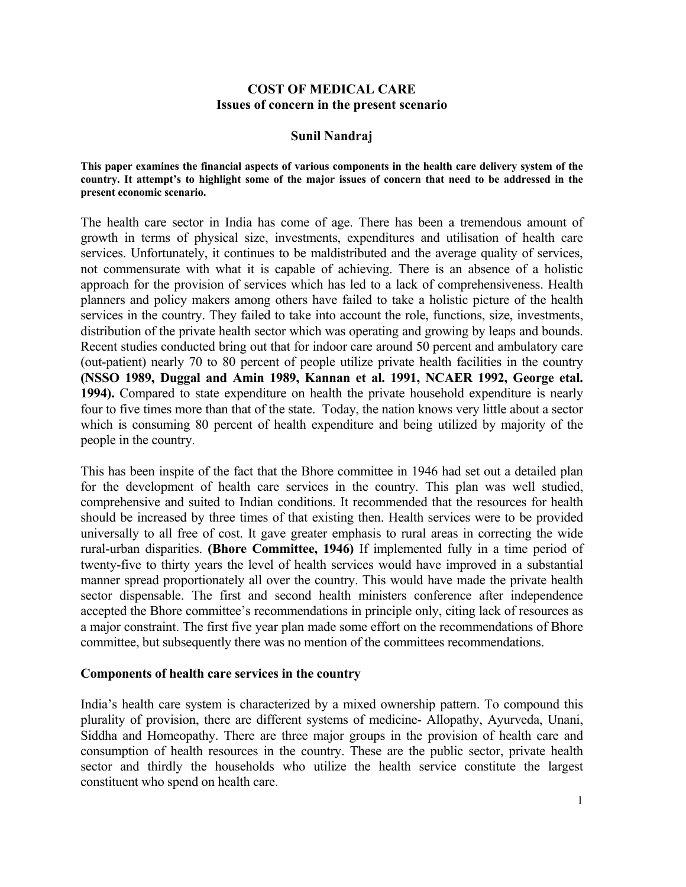## **COST OF MEDICAL CARE Issues of concern in the present scenario**

### **Sunil Nandraj**

#### **This paper examines the financial aspects of various components in the health care delivery system of the country. It attempt's to highlight some of the major issues of concern that need to be addressed in the present economic scenario.**

The health care sector in India has come of age. There has been a tremendous amount of growth in terms of physical size, investments, expenditures and utilisation of health care services. Unfortunately, it continues to be maldistributed and the average quality of services, not commensurate with what it is capable of achieving. There is an absence of a holistic approach for the provision of services which has led to a lack of comprehensiveness. Health planners and policy makers among others have failed to take a holistic picture of the health services in the country. They failed to take into account the role, functions, size, investments, distribution of the private health sector which was operating and growing by leaps and bounds. Recent studies conducted bring out that for indoor care around 50 percent and ambulatory care (out-patient) nearly 70 to 80 percent of people utilize private health facilities in the country **(NSSO 1989, Duggal and Amin 1989, Kannan et al. 1991, NCAER 1992, George etal. 1994).** Compared to state expenditure on health the private household expenditure is nearly four to five times more than that of the state. Today, the nation knows very little about a sector which is consuming 80 percent of health expenditure and being utilized by majority of the people in the country.

This has been inspite of the fact that the Bhore committee in 1946 had set out a detailed plan for the development of health care services in the country. This plan was well studied, comprehensive and suited to Indian conditions. It recommended that the resources for health should be increased by three times of that existing then. Health services were to be provided universally to all free of cost. It gave greater emphasis to rural areas in correcting the wide rural-urban disparities. **(Bhore Committee, 1946)** If implemented fully in a time period of twenty-five to thirty years the level of health services would have improved in a substantial manner spread proportionately all over the country. This would have made the private health sector dispensable. The first and second health ministers conference after independence accepted the Bhore committee's recommendations in principle only, citing lack of resources as a major constraint. The first five year plan made some effort on the recommendations of Bhore committee, but subsequently there was no mention of the committees recommendations.

### **Components of health care services in the country**

India's health care system is characterized by a mixed ownership pattern. To compound this plurality of provision, there are different systems of medicine- Allopathy, Ayurveda, Unani, Siddha and Homeopathy. There are three major groups in the provision of health care and consumption of health resources in the country. These are the public sector, private health sector and thirdly the households who utilize the health service constitute the largest constituent who spend on health care.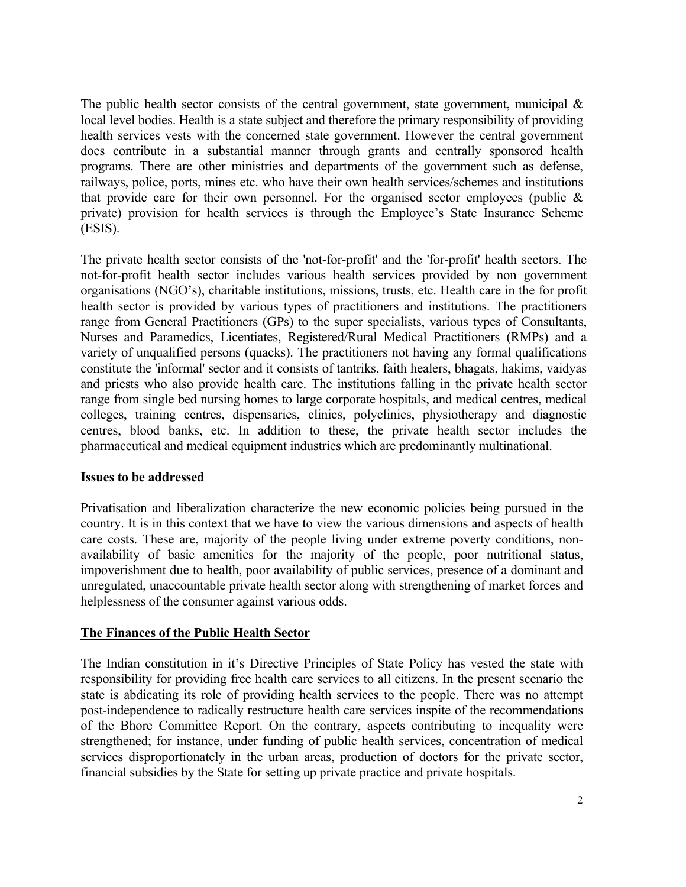The public health sector consists of the central government, state government, municipal  $\&$ local level bodies. Health is a state subject and therefore the primary responsibility of providing health services vests with the concerned state government. However the central government does contribute in a substantial manner through grants and centrally sponsored health programs. There are other ministries and departments of the government such as defense, railways, police, ports, mines etc. who have their own health services/schemes and institutions that provide care for their own personnel. For the organised sector employees (public  $\&$ private) provision for health services is through the Employee's State Insurance Scheme (ESIS).

The private health sector consists of the 'not-for-profit' and the 'for-profit' health sectors. The not-for-profit health sector includes various health services provided by non government organisations (NGO's), charitable institutions, missions, trusts, etc. Health care in the for profit health sector is provided by various types of practitioners and institutions. The practitioners range from General Practitioners (GPs) to the super specialists, various types of Consultants, Nurses and Paramedics, Licentiates, Registered/Rural Medical Practitioners (RMPs) and a variety of unqualified persons (quacks). The practitioners not having any formal qualifications constitute the 'informal' sector and it consists of tantriks, faith healers, bhagats, hakims, vaidyas and priests who also provide health care. The institutions falling in the private health sector range from single bed nursing homes to large corporate hospitals, and medical centres, medical colleges, training centres, dispensaries, clinics, polyclinics, physiotherapy and diagnostic centres, blood banks, etc. In addition to these, the private health sector includes the pharmaceutical and medical equipment industries which are predominantly multinational.

## **Issues to be addressed**

Privatisation and liberalization characterize the new economic policies being pursued in the country. It is in this context that we have to view the various dimensions and aspects of health care costs. These are, majority of the people living under extreme poverty conditions, nonavailability of basic amenities for the majority of the people, poor nutritional status, impoverishment due to health, poor availability of public services, presence of a dominant and unregulated, unaccountable private health sector along with strengthening of market forces and helplessness of the consumer against various odds.

## **The Finances of the Public Health Sector**

The Indian constitution in it's Directive Principles of State Policy has vested the state with responsibility for providing free health care services to all citizens. In the present scenario the state is abdicating its role of providing health services to the people. There was no attempt post-independence to radically restructure health care services inspite of the recommendations of the Bhore Committee Report. On the contrary, aspects contributing to inequality were strengthened; for instance, under funding of public health services, concentration of medical services disproportionately in the urban areas, production of doctors for the private sector, financial subsidies by the State for setting up private practice and private hospitals.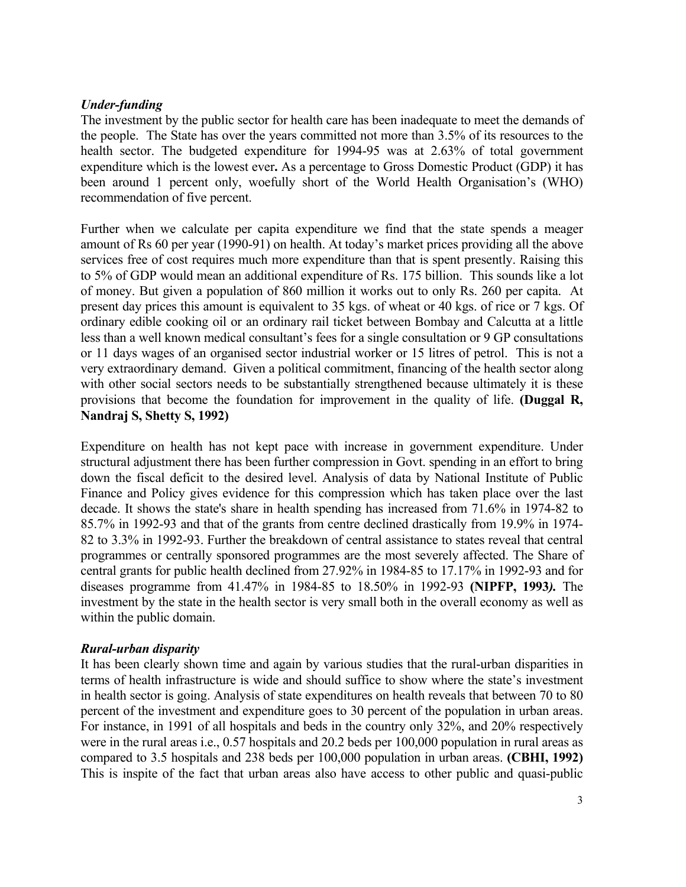### *Under-funding*

The investment by the public sector for health care has been inadequate to meet the demands of the people. The State has over the years committed not more than 3.5% of its resources to the health sector. The budgeted expenditure for 1994-95 was at 2.63% of total government expenditure which is the lowest ever**.** As a percentage to Gross Domestic Product (GDP) it has been around 1 percent only, woefully short of the World Health Organisation's (WHO) recommendation of five percent.

Further when we calculate per capita expenditure we find that the state spends a meager amount of Rs 60 per year (1990-91) on health. At today's market prices providing all the above services free of cost requires much more expenditure than that is spent presently. Raising this to 5% of GDP would mean an additional expenditure of Rs. 175 billion. This sounds like a lot of money. But given a population of 860 million it works out to only Rs. 260 per capita. At present day prices this amount is equivalent to 35 kgs. of wheat or 40 kgs. of rice or 7 kgs. Of ordinary edible cooking oil or an ordinary rail ticket between Bombay and Calcutta at a little less than a well known medical consultant's fees for a single consultation or 9 GP consultations or 11 days wages of an organised sector industrial worker or 15 litres of petrol. This is not a very extraordinary demand. Given a political commitment, financing of the health sector along with other social sectors needs to be substantially strengthened because ultimately it is these provisions that become the foundation for improvement in the quality of life. **(Duggal R, Nandraj S, Shetty S, 1992)**

Expenditure on health has not kept pace with increase in government expenditure. Under structural adjustment there has been further compression in Govt. spending in an effort to bring down the fiscal deficit to the desired level. Analysis of data by National Institute of Public Finance and Policy gives evidence for this compression which has taken place over the last decade. It shows the state's share in health spending has increased from 71.6% in 1974-82 to 85.7% in 1992-93 and that of the grants from centre declined drastically from 19.9% in 1974- 82 to 3.3% in 1992-93. Further the breakdown of central assistance to states reveal that central programmes or centrally sponsored programmes are the most severely affected. The Share of central grants for public health declined from 27.92% in 1984-85 to 17.17% in 1992-93 and for diseases programme from 41.47% in 1984-85 to 18.50% in 1992-93 **(NIPFP, 1993***).* The investment by the state in the health sector is very small both in the overall economy as well as within the public domain.

### *Rural-urban disparity*

It has been clearly shown time and again by various studies that the rural-urban disparities in terms of health infrastructure is wide and should suffice to show where the state's investment in health sector is going. Analysis of state expenditures on health reveals that between 70 to 80 percent of the investment and expenditure goes to 30 percent of the population in urban areas. For instance, in 1991 of all hospitals and beds in the country only 32%, and 20% respectively were in the rural areas i.e., 0.57 hospitals and 20.2 beds per 100,000 population in rural areas as compared to 3.5 hospitals and 238 beds per 100,000 population in urban areas. **(CBHI, 1992)**  This is inspite of the fact that urban areas also have access to other public and quasi-public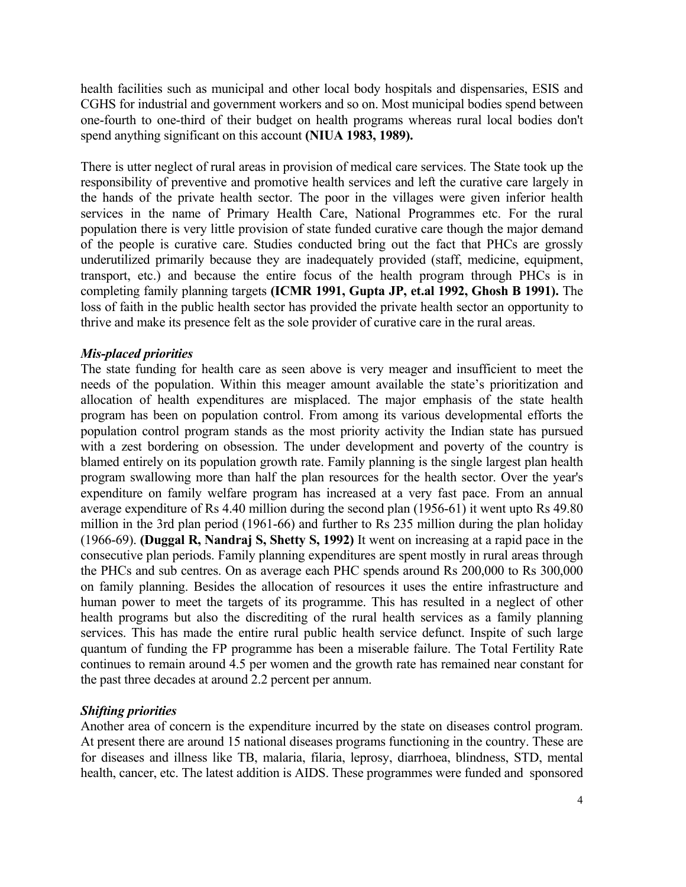health facilities such as municipal and other local body hospitals and dispensaries, ESIS and CGHS for industrial and government workers and so on. Most municipal bodies spend between one-fourth to one-third of their budget on health programs whereas rural local bodies don't spend anything significant on this account **(NIUA 1983, 1989).**

There is utter neglect of rural areas in provision of medical care services. The State took up the responsibility of preventive and promotive health services and left the curative care largely in the hands of the private health sector. The poor in the villages were given inferior health services in the name of Primary Health Care, National Programmes etc. For the rural population there is very little provision of state funded curative care though the major demand of the people is curative care. Studies conducted bring out the fact that PHCs are grossly underutilized primarily because they are inadequately provided (staff, medicine, equipment, transport, etc.) and because the entire focus of the health program through PHCs is in completing family planning targets **(ICMR 1991, Gupta JP, et.al 1992, Ghosh B 1991).** The loss of faith in the public health sector has provided the private health sector an opportunity to thrive and make its presence felt as the sole provider of curative care in the rural areas.

## *Mis-placed priorities*

The state funding for health care as seen above is very meager and insufficient to meet the needs of the population. Within this meager amount available the state's prioritization and allocation of health expenditures are misplaced. The major emphasis of the state health program has been on population control. From among its various developmental efforts the population control program stands as the most priority activity the Indian state has pursued with a zest bordering on obsession. The under development and poverty of the country is blamed entirely on its population growth rate. Family planning is the single largest plan health program swallowing more than half the plan resources for the health sector. Over the year's expenditure on family welfare program has increased at a very fast pace. From an annual average expenditure of Rs 4.40 million during the second plan (1956-61) it went upto Rs 49.80 million in the 3rd plan period (1961-66) and further to Rs 235 million during the plan holiday (1966-69). **(Duggal R, Nandraj S, Shetty S, 1992)** It went on increasing at a rapid pace in the consecutive plan periods. Family planning expenditures are spent mostly in rural areas through the PHCs and sub centres. On as average each PHC spends around Rs 200,000 to Rs 300,000 on family planning. Besides the allocation of resources it uses the entire infrastructure and human power to meet the targets of its programme. This has resulted in a neglect of other health programs but also the discrediting of the rural health services as a family planning services. This has made the entire rural public health service defunct. Inspite of such large quantum of funding the FP programme has been a miserable failure. The Total Fertility Rate continues to remain around 4.5 per women and the growth rate has remained near constant for the past three decades at around 2.2 percent per annum.

## *Shifting priorities*

Another area of concern is the expenditure incurred by the state on diseases control program. At present there are around 15 national diseases programs functioning in the country. These are for diseases and illness like TB, malaria, filaria, leprosy, diarrhoea, blindness, STD, mental health, cancer, etc. The latest addition is AIDS. These programmes were funded and sponsored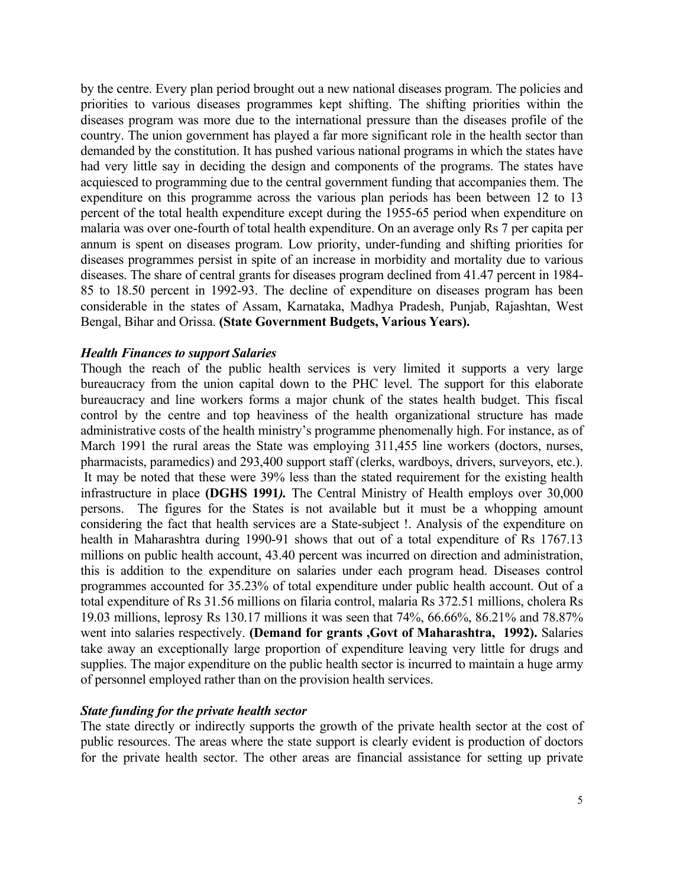by the centre. Every plan period brought out a new national diseases program. The policies and priorities to various diseases programmes kept shifting. The shifting priorities within the diseases program was more due to the international pressure than the diseases profile of the country. The union government has played a far more significant role in the health sector than demanded by the constitution. It has pushed various national programs in which the states have had very little say in deciding the design and components of the programs. The states have acquiesced to programming due to the central government funding that accompanies them. The expenditure on this programme across the various plan periods has been between 12 to 13 percent of the total health expenditure except during the 1955-65 period when expenditure on malaria was over one-fourth of total health expenditure. On an average only Rs 7 per capita per annum is spent on diseases program. Low priority, under-funding and shifting priorities for diseases programmes persist in spite of an increase in morbidity and mortality due to various diseases. The share of central grants for diseases program declined from 41.47 percent in 1984- 85 to 18.50 percent in 1992-93. The decline of expenditure on diseases program has been considerable in the states of Assam, Karnataka, Madhya Pradesh, Punjab, Rajashtan, West Bengal, Bihar and Orissa. **(State Government Budgets, Various Years).**

#### *Health Finances to support Salaries*

Though the reach of the public health services is very limited it supports a very large bureaucracy from the union capital down to the PHC level. The support for this elaborate bureaucracy and line workers forms a major chunk of the states health budget. This fiscal control by the centre and top heaviness of the health organizational structure has made administrative costs of the health ministry's programme phenomenally high. For instance, as of March 1991 the rural areas the State was employing 311,455 line workers (doctors, nurses, pharmacists, paramedics) and 293,400 support staff (clerks, wardboys, drivers, surveyors, etc.). It may be noted that these were 39% less than the stated requirement for the existing health infrastructure in place **(DGHS 1991***).* The Central Ministry of Health employs over 30,000 persons. The figures for the States is not available but it must be a whopping amount considering the fact that health services are a State-subject !. Analysis of the expenditure on health in Maharashtra during 1990-91 shows that out of a total expenditure of Rs 1767.13 millions on public health account, 43.40 percent was incurred on direction and administration, this is addition to the expenditure on salaries under each program head. Diseases control programmes accounted for 35.23% of total expenditure under public health account. Out of a total expenditure of Rs 31.56 millions on filaria control, malaria Rs 372.51 millions, cholera Rs 19.03 millions, leprosy Rs 130.17 millions it was seen that 74%, 66.66%, 86.21% and 78.87% went into salaries respectively. **(Demand for grants ,Govt of Maharashtra, 1992).** Salaries take away an exceptionally large proportion of expenditure leaving very little for drugs and supplies. The major expenditure on the public health sector is incurred to maintain a huge army of personnel employed rather than on the provision health services.

### *State funding for the private health sector*

The state directly or indirectly supports the growth of the private health sector at the cost of public resources. The areas where the state support is clearly evident is production of doctors for the private health sector. The other areas are financial assistance for setting up private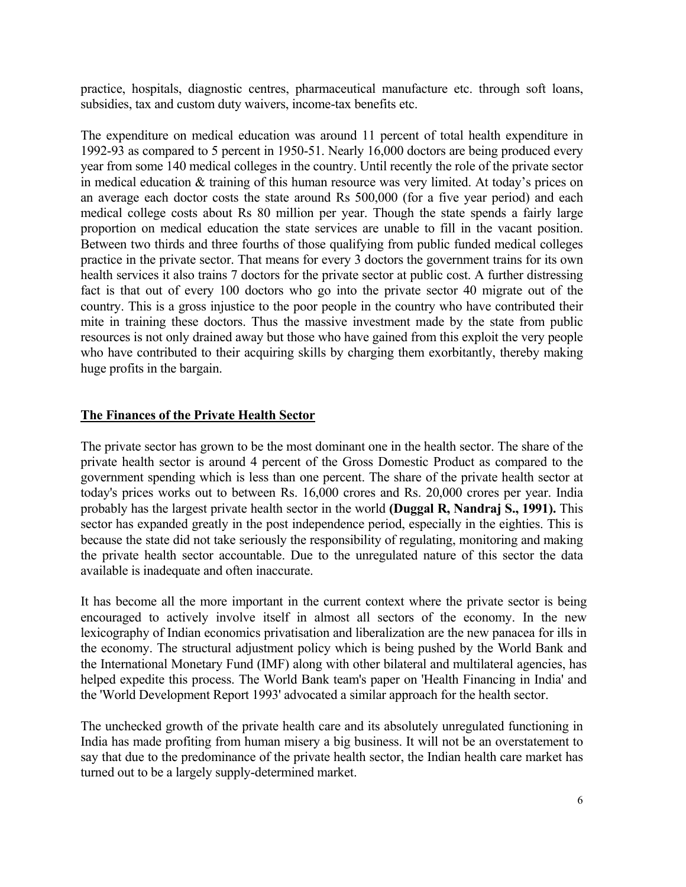practice, hospitals, diagnostic centres, pharmaceutical manufacture etc. through soft loans, subsidies, tax and custom duty waivers, income-tax benefits etc.

The expenditure on medical education was around 11 percent of total health expenditure in 1992-93 as compared to 5 percent in 1950-51. Nearly 16,000 doctors are being produced every year from some 140 medical colleges in the country. Until recently the role of the private sector in medical education & training of this human resource was very limited. At today's prices on an average each doctor costs the state around Rs 500,000 (for a five year period) and each medical college costs about Rs 80 million per year. Though the state spends a fairly large proportion on medical education the state services are unable to fill in the vacant position. Between two thirds and three fourths of those qualifying from public funded medical colleges practice in the private sector. That means for every 3 doctors the government trains for its own health services it also trains 7 doctors for the private sector at public cost. A further distressing fact is that out of every 100 doctors who go into the private sector 40 migrate out of the country. This is a gross injustice to the poor people in the country who have contributed their mite in training these doctors. Thus the massive investment made by the state from public resources is not only drained away but those who have gained from this exploit the very people who have contributed to their acquiring skills by charging them exorbitantly, thereby making huge profits in the bargain.

## **The Finances of the Private Health Sector**

The private sector has grown to be the most dominant one in the health sector. The share of the private health sector is around 4 percent of the Gross Domestic Product as compared to the government spending which is less than one percent. The share of the private health sector at today's prices works out to between Rs. 16,000 crores and Rs. 20,000 crores per year. India probably has the largest private health sector in the world **(Duggal R, Nandraj S., 1991).** This sector has expanded greatly in the post independence period, especially in the eighties. This is because the state did not take seriously the responsibility of regulating, monitoring and making the private health sector accountable. Due to the unregulated nature of this sector the data available is inadequate and often inaccurate.

It has become all the more important in the current context where the private sector is being encouraged to actively involve itself in almost all sectors of the economy. In the new lexicography of Indian economics privatisation and liberalization are the new panacea for ills in the economy. The structural adjustment policy which is being pushed by the World Bank and the International Monetary Fund (IMF) along with other bilateral and multilateral agencies, has helped expedite this process. The World Bank team's paper on 'Health Financing in India' and the 'World Development Report 1993' advocated a similar approach for the health sector.

The unchecked growth of the private health care and its absolutely unregulated functioning in India has made profiting from human misery a big business. It will not be an overstatement to say that due to the predominance of the private health sector, the Indian health care market has turned out to be a largely supply-determined market.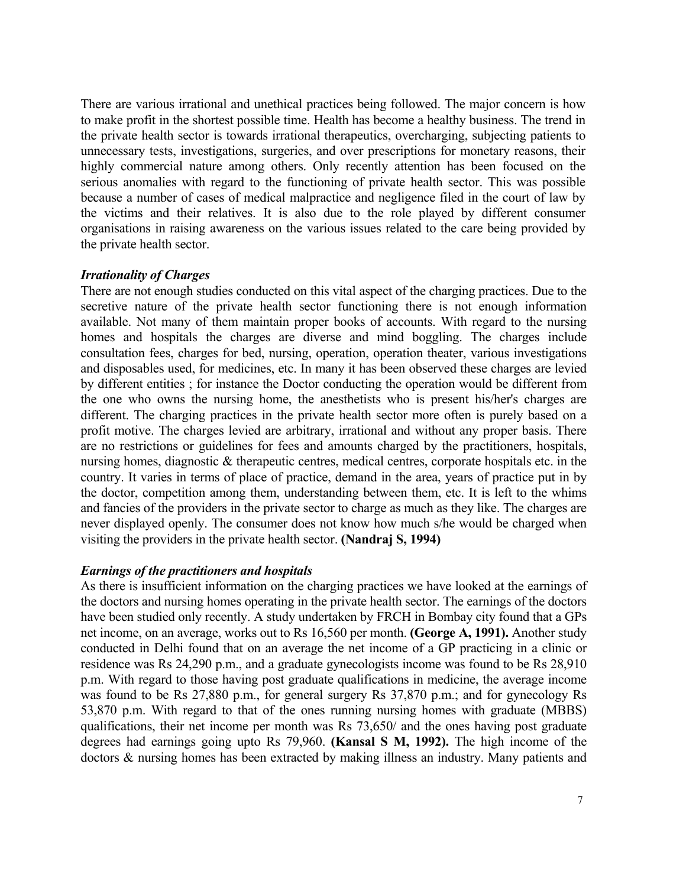There are various irrational and unethical practices being followed. The major concern is how to make profit in the shortest possible time. Health has become a healthy business. The trend in the private health sector is towards irrational therapeutics, overcharging, subjecting patients to unnecessary tests, investigations, surgeries, and over prescriptions for monetary reasons, their highly commercial nature among others. Only recently attention has been focused on the serious anomalies with regard to the functioning of private health sector. This was possible because a number of cases of medical malpractice and negligence filed in the court of law by the victims and their relatives. It is also due to the role played by different consumer organisations in raising awareness on the various issues related to the care being provided by the private health sector.

## *Irrationality of Charges*

There are not enough studies conducted on this vital aspect of the charging practices. Due to the secretive nature of the private health sector functioning there is not enough information available. Not many of them maintain proper books of accounts. With regard to the nursing homes and hospitals the charges are diverse and mind boggling. The charges include consultation fees, charges for bed, nursing, operation, operation theater, various investigations and disposables used, for medicines, etc. In many it has been observed these charges are levied by different entities ; for instance the Doctor conducting the operation would be different from the one who owns the nursing home, the anesthetists who is present his/her's charges are different. The charging practices in the private health sector more often is purely based on a profit motive. The charges levied are arbitrary, irrational and without any proper basis. There are no restrictions or guidelines for fees and amounts charged by the practitioners, hospitals, nursing homes, diagnostic & therapeutic centres, medical centres, corporate hospitals etc. in the country. It varies in terms of place of practice, demand in the area, years of practice put in by the doctor, competition among them, understanding between them, etc. It is left to the whims and fancies of the providers in the private sector to charge as much as they like. The charges are never displayed openly. The consumer does not know how much s/he would be charged when visiting the providers in the private health sector. **(Nandraj S, 1994)**

# *Earnings of the practitioners and hospitals*

As there is insufficient information on the charging practices we have looked at the earnings of the doctors and nursing homes operating in the private health sector. The earnings of the doctors have been studied only recently. A study undertaken by FRCH in Bombay city found that a GPs net income, on an average, works out to Rs 16,560 per month. **(George A, 1991).** Another study conducted in Delhi found that on an average the net income of a GP practicing in a clinic or residence was Rs 24,290 p.m., and a graduate gynecologists income was found to be Rs 28,910 p.m. With regard to those having post graduate qualifications in medicine, the average income was found to be Rs 27,880 p.m., for general surgery Rs 37,870 p.m.; and for gynecology Rs 53,870 p.m. With regard to that of the ones running nursing homes with graduate (MBBS) qualifications, their net income per month was Rs 73,650/ and the ones having post graduate degrees had earnings going upto Rs 79,960. **(Kansal S M, 1992).** The high income of the doctors & nursing homes has been extracted by making illness an industry. Many patients and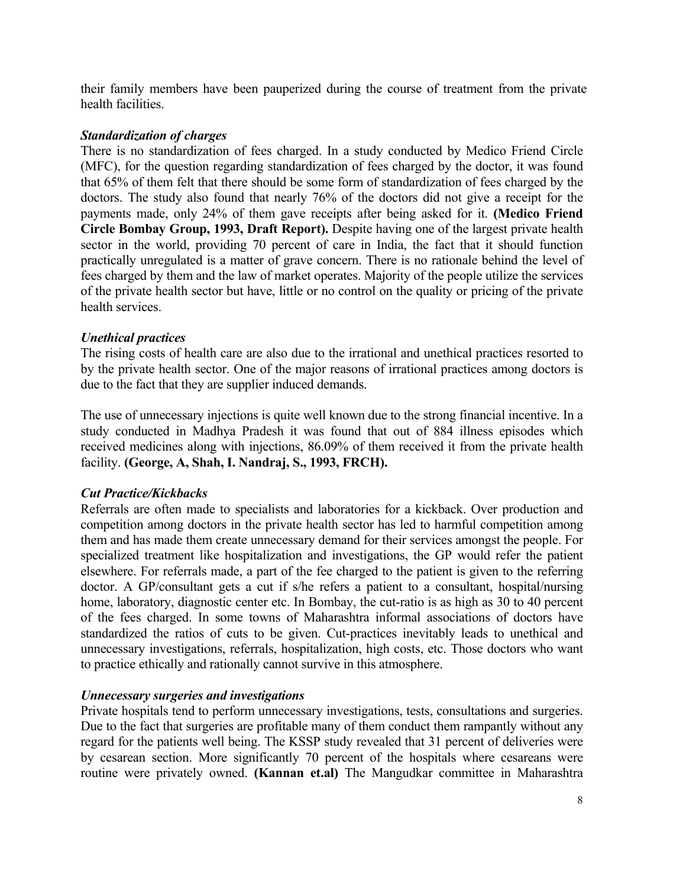their family members have been pauperized during the course of treatment from the private health facilities.

## *Standardization of charges*

There is no standardization of fees charged. In a study conducted by Medico Friend Circle (MFC), for the question regarding standardization of fees charged by the doctor, it was found that 65% of them felt that there should be some form of standardization of fees charged by the doctors. The study also found that nearly 76% of the doctors did not give a receipt for the payments made, only 24% of them gave receipts after being asked for it. **(Medico Friend Circle Bombay Group, 1993, Draft Report).** Despite having one of the largest private health sector in the world, providing 70 percent of care in India, the fact that it should function practically unregulated is a matter of grave concern. There is no rationale behind the level of fees charged by them and the law of market operates. Majority of the people utilize the services of the private health sector but have, little or no control on the quality or pricing of the private health services.

## *Unethical practices*

The rising costs of health care are also due to the irrational and unethical practices resorted to by the private health sector. One of the major reasons of irrational practices among doctors is due to the fact that they are supplier induced demands.

The use of unnecessary injections is quite well known due to the strong financial incentive. In a study conducted in Madhya Pradesh it was found that out of 884 illness episodes which received medicines along with injections, 86.09% of them received it from the private health facility. **(George, A, Shah, I. Nandraj, S., 1993, FRCH).**

# *Cut Practice/Kickbacks*

Referrals are often made to specialists and laboratories for a kickback. Over production and competition among doctors in the private health sector has led to harmful competition among them and has made them create unnecessary demand for their services amongst the people. For specialized treatment like hospitalization and investigations, the GP would refer the patient elsewhere. For referrals made, a part of the fee charged to the patient is given to the referring doctor. A GP/consultant gets a cut if s/he refers a patient to a consultant, hospital/nursing home, laboratory, diagnostic center etc. In Bombay, the cut-ratio is as high as 30 to 40 percent of the fees charged. In some towns of Maharashtra informal associations of doctors have standardized the ratios of cuts to be given. Cut-practices inevitably leads to unethical and unnecessary investigations, referrals, hospitalization, high costs, etc. Those doctors who want to practice ethically and rationally cannot survive in this atmosphere.

# *Unnecessary surgeries and investigations*

Private hospitals tend to perform unnecessary investigations, tests, consultations and surgeries. Due to the fact that surgeries are profitable many of them conduct them rampantly without any regard for the patients well being. The KSSP study revealed that 31 percent of deliveries were by cesarean section. More significantly 70 percent of the hospitals where cesareans were routine were privately owned. **(Kannan et.al)** The Mangudkar committee in Maharashtra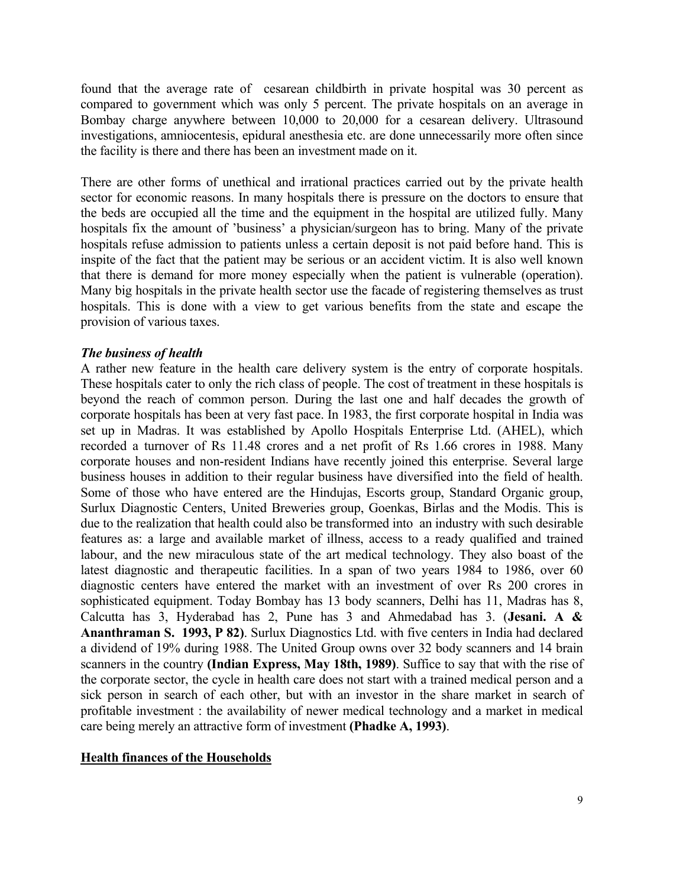found that the average rate of cesarean childbirth in private hospital was 30 percent as compared to government which was only 5 percent. The private hospitals on an average in Bombay charge anywhere between 10,000 to 20,000 for a cesarean delivery. Ultrasound investigations, amniocentesis, epidural anesthesia etc. are done unnecessarily more often since the facility is there and there has been an investment made on it.

There are other forms of unethical and irrational practices carried out by the private health sector for economic reasons. In many hospitals there is pressure on the doctors to ensure that the beds are occupied all the time and the equipment in the hospital are utilized fully. Many hospitals fix the amount of 'business' a physician/surgeon has to bring. Many of the private hospitals refuse admission to patients unless a certain deposit is not paid before hand. This is inspite of the fact that the patient may be serious or an accident victim. It is also well known that there is demand for more money especially when the patient is vulnerable (operation). Many big hospitals in the private health sector use the facade of registering themselves as trust hospitals. This is done with a view to get various benefits from the state and escape the provision of various taxes.

#### *The business of health*

A rather new feature in the health care delivery system is the entry of corporate hospitals. These hospitals cater to only the rich class of people. The cost of treatment in these hospitals is beyond the reach of common person. During the last one and half decades the growth of corporate hospitals has been at very fast pace. In 1983, the first corporate hospital in India was set up in Madras. It was established by Apollo Hospitals Enterprise Ltd. (AHEL), which recorded a turnover of Rs 11.48 crores and a net profit of Rs 1.66 crores in 1988. Many corporate houses and non-resident Indians have recently joined this enterprise. Several large business houses in addition to their regular business have diversified into the field of health. Some of those who have entered are the Hindujas, Escorts group, Standard Organic group, Surlux Diagnostic Centers, United Breweries group, Goenkas, Birlas and the Modis. This is due to the realization that health could also be transformed into an industry with such desirable features as: a large and available market of illness, access to a ready qualified and trained labour, and the new miraculous state of the art medical technology. They also boast of the latest diagnostic and therapeutic facilities. In a span of two years 1984 to 1986, over 60 diagnostic centers have entered the market with an investment of over Rs 200 crores in sophisticated equipment. Today Bombay has 13 body scanners, Delhi has 11, Madras has 8, Calcutta has 3, Hyderabad has 2, Pune has 3 and Ahmedabad has 3. (**Jesani. A & Ananthraman S. 1993, P 82)**. Surlux Diagnostics Ltd. with five centers in India had declared a dividend of 19% during 1988. The United Group owns over 32 body scanners and 14 brain scanners in the country **(Indian Express, May 18th, 1989)**. Suffice to say that with the rise of the corporate sector, the cycle in health care does not start with a trained medical person and a sick person in search of each other, but with an investor in the share market in search of profitable investment : the availability of newer medical technology and a market in medical care being merely an attractive form of investment **(Phadke A, 1993)**.

### **Health finances of the Households**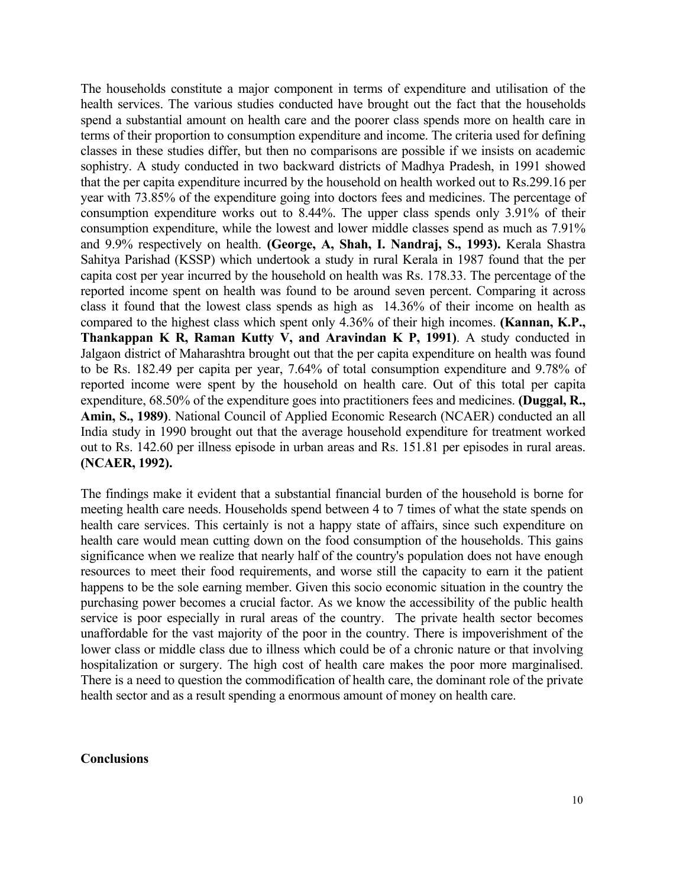The households constitute a major component in terms of expenditure and utilisation of the health services. The various studies conducted have brought out the fact that the households spend a substantial amount on health care and the poorer class spends more on health care in terms of their proportion to consumption expenditure and income. The criteria used for defining classes in these studies differ, but then no comparisons are possible if we insists on academic sophistry. A study conducted in two backward districts of Madhya Pradesh, in 1991 showed that the per capita expenditure incurred by the household on health worked out to Rs.299.16 per year with 73.85% of the expenditure going into doctors fees and medicines. The percentage of consumption expenditure works out to 8.44%. The upper class spends only 3.91% of their consumption expenditure, while the lowest and lower middle classes spend as much as 7.91% and 9.9% respectively on health. **(George, A, Shah, I. Nandraj, S., 1993).** Kerala Shastra Sahitya Parishad (KSSP) which undertook a study in rural Kerala in 1987 found that the per capita cost per year incurred by the household on health was Rs. 178.33. The percentage of the reported income spent on health was found to be around seven percent. Comparing it across class it found that the lowest class spends as high as 14.36% of their income on health as compared to the highest class which spent only 4.36% of their high incomes. **(Kannan, K.P., Thankappan K R, Raman Kutty V, and Aravindan K P, 1991)**. A study conducted in Jalgaon district of Maharashtra brought out that the per capita expenditure on health was found to be Rs. 182.49 per capita per year, 7.64% of total consumption expenditure and 9.78% of reported income were spent by the household on health care. Out of this total per capita expenditure, 68.50% of the expenditure goes into practitioners fees and medicines. **(Duggal, R., Amin, S., 1989)**. National Council of Applied Economic Research (NCAER) conducted an all India study in 1990 brought out that the average household expenditure for treatment worked out to Rs. 142.60 per illness episode in urban areas and Rs. 151.81 per episodes in rural areas. **(NCAER, 1992).**

The findings make it evident that a substantial financial burden of the household is borne for meeting health care needs. Households spend between 4 to 7 times of what the state spends on health care services. This certainly is not a happy state of affairs, since such expenditure on health care would mean cutting down on the food consumption of the households. This gains significance when we realize that nearly half of the country's population does not have enough resources to meet their food requirements, and worse still the capacity to earn it the patient happens to be the sole earning member. Given this socio economic situation in the country the purchasing power becomes a crucial factor. As we know the accessibility of the public health service is poor especially in rural areas of the country. The private health sector becomes unaffordable for the vast majority of the poor in the country. There is impoverishment of the lower class or middle class due to illness which could be of a chronic nature or that involving hospitalization or surgery. The high cost of health care makes the poor more marginalised. There is a need to question the commodification of health care, the dominant role of the private health sector and as a result spending a enormous amount of money on health care.

### **Conclusions**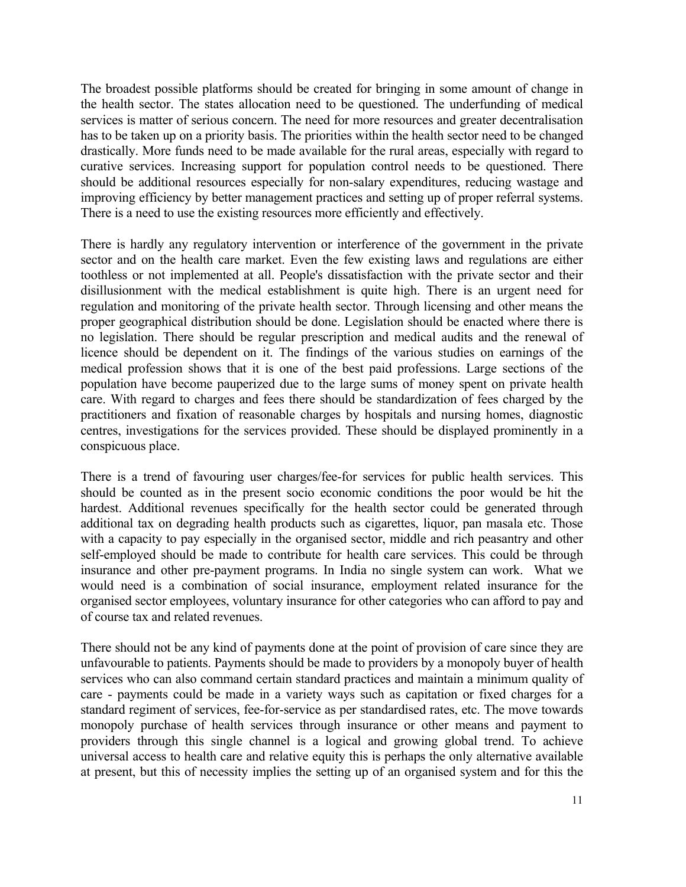The broadest possible platforms should be created for bringing in some amount of change in the health sector. The states allocation need to be questioned. The underfunding of medical services is matter of serious concern. The need for more resources and greater decentralisation has to be taken up on a priority basis. The priorities within the health sector need to be changed drastically. More funds need to be made available for the rural areas, especially with regard to curative services. Increasing support for population control needs to be questioned. There should be additional resources especially for non-salary expenditures, reducing wastage and improving efficiency by better management practices and setting up of proper referral systems. There is a need to use the existing resources more efficiently and effectively.

There is hardly any regulatory intervention or interference of the government in the private sector and on the health care market. Even the few existing laws and regulations are either toothless or not implemented at all. People's dissatisfaction with the private sector and their disillusionment with the medical establishment is quite high. There is an urgent need for regulation and monitoring of the private health sector. Through licensing and other means the proper geographical distribution should be done. Legislation should be enacted where there is no legislation. There should be regular prescription and medical audits and the renewal of licence should be dependent on it. The findings of the various studies on earnings of the medical profession shows that it is one of the best paid professions. Large sections of the population have become pauperized due to the large sums of money spent on private health care. With regard to charges and fees there should be standardization of fees charged by the practitioners and fixation of reasonable charges by hospitals and nursing homes, diagnostic centres, investigations for the services provided. These should be displayed prominently in a conspicuous place.

There is a trend of favouring user charges/fee-for services for public health services. This should be counted as in the present socio economic conditions the poor would be hit the hardest. Additional revenues specifically for the health sector could be generated through additional tax on degrading health products such as cigarettes, liquor, pan masala etc. Those with a capacity to pay especially in the organised sector, middle and rich peasantry and other self-employed should be made to contribute for health care services. This could be through insurance and other pre-payment programs. In India no single system can work. What we would need is a combination of social insurance, employment related insurance for the organised sector employees, voluntary insurance for other categories who can afford to pay and of course tax and related revenues.

There should not be any kind of payments done at the point of provision of care since they are unfavourable to patients. Payments should be made to providers by a monopoly buyer of health services who can also command certain standard practices and maintain a minimum quality of care - payments could be made in a variety ways such as capitation or fixed charges for a standard regiment of services, fee-for-service as per standardised rates, etc. The move towards monopoly purchase of health services through insurance or other means and payment to providers through this single channel is a logical and growing global trend. To achieve universal access to health care and relative equity this is perhaps the only alternative available at present, but this of necessity implies the setting up of an organised system and for this the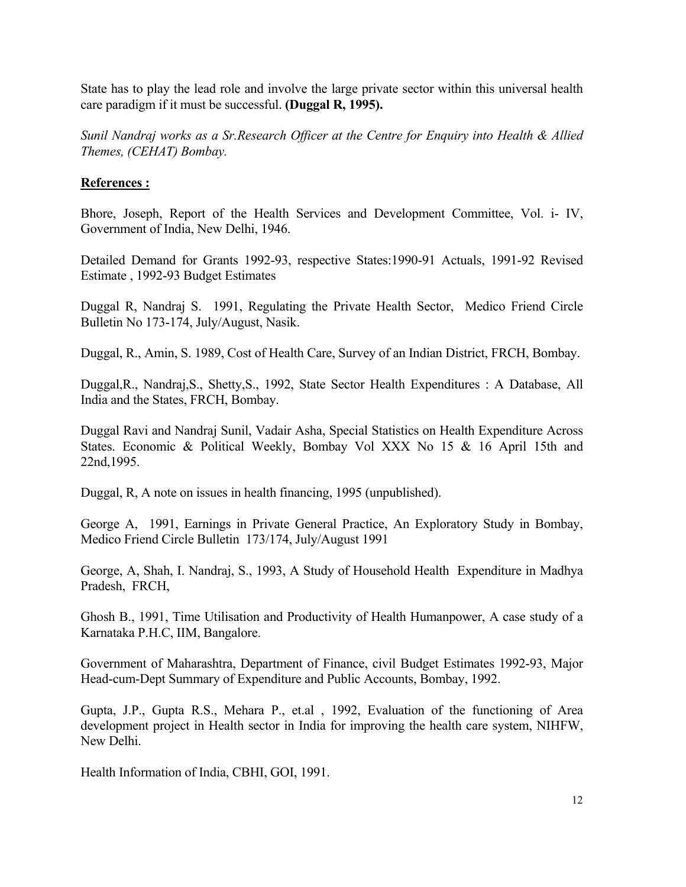State has to play the lead role and involve the large private sector within this universal health care paradigm if it must be successful. **(Duggal R, 1995).**

*Sunil Nandraj works as a Sr.Research Officer at the Centre for Enquiry into Health & Allied Themes, (CEHAT) Bombay.*

## **References :**

Bhore, Joseph, Report of the Health Services and Development Committee, Vol. i- IV, Government of India, New Delhi, 1946.

Detailed Demand for Grants 1992-93, respective States:1990-91 Actuals, 1991-92 Revised Estimate , 1992-93 Budget Estimates

Duggal R, Nandraj S. 1991, Regulating the Private Health Sector, Medico Friend Circle Bulletin No 173-174, July/August, Nasik.

Duggal, R., Amin, S. 1989, Cost of Health Care, Survey of an Indian District, FRCH, Bombay.

Duggal,R., Nandraj,S., Shetty,S., 1992, State Sector Health Expenditures : A Database, All India and the States, FRCH, Bombay.

Duggal Ravi and Nandraj Sunil, Vadair Asha, Special Statistics on Health Expenditure Across States. Economic & Political Weekly, Bombay Vol XXX No 15 & 16 April 15th and 22nd,1995.

Duggal, R, A note on issues in health financing, 1995 (unpublished).

George A, 1991, Earnings in Private General Practice, An Exploratory Study in Bombay, Medico Friend Circle Bulletin 173/174, July/August 1991

George, A, Shah, I. Nandraj, S., 1993, A Study of Household Health Expenditure in Madhya Pradesh, FRCH,

Ghosh B., 1991, Time Utilisation and Productivity of Health Humanpower, A case study of a Karnataka P.H.C, IIM, Bangalore.

Government of Maharashtra, Department of Finance, civil Budget Estimates 1992-93, Major Head-cum-Dept Summary of Expenditure and Public Accounts, Bombay, 1992.

Gupta, J.P., Gupta R.S., Mehara P., et.al , 1992, Evaluation of the functioning of Area development project in Health sector in India for improving the health care system, NIHFW, New Delhi.

Health Information of India, CBHI, GOI, 1991.